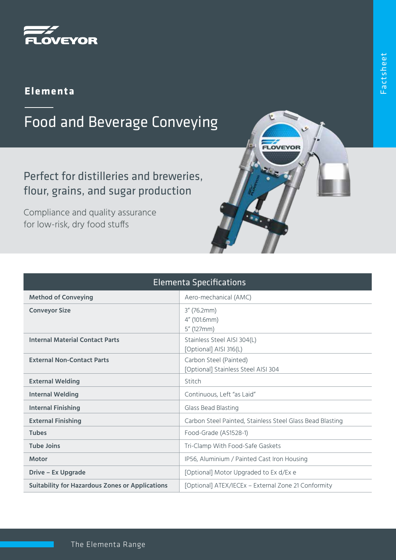

#### **Elementa**

# Food and Beverage Conveying

### Perfect for distilleries and breweries, flour, grains, and sugar production

Compliance and quality assurance for low-risk, dry food stuffs

| <b>Elementa Specifications</b>                         |                                                               |
|--------------------------------------------------------|---------------------------------------------------------------|
| <b>Method of Conveying</b>                             | Aero-mechanical (AMC)                                         |
| <b>Conveyor Size</b>                                   | $3''$ (76.2mm)<br>4" (101.6mm)<br>5" (127mm)                  |
| <b>Internal Material Contact Parts</b>                 | Stainless Steel AISI 304(L)<br>[Optional] AISI 316(L)         |
| <b>External Non-Contact Parts</b>                      | Carbon Steel (Painted)<br>[Optional] Stainless Steel AISI 304 |
| <b>External Welding</b>                                | Stitch                                                        |
| <b>Internal Welding</b>                                | Continuous, Left "as Laid"                                    |
| <b>Internal Finishing</b>                              | Glass Bead Blasting                                           |
| <b>External Finishing</b>                              | Carbon Steel Painted, Stainless Steel Glass Bead Blasting     |
| <b>Tubes</b>                                           | Food-Grade (AS1528-1)                                         |
| <b>Tube Joins</b>                                      | Tri-Clamp With Food-Safe Gaskets                              |
| <b>Motor</b>                                           | IP56, Aluminium / Painted Cast Iron Housing                   |
| <b>Drive - Ex Upgrade</b>                              | [Optional] Motor Upgraded to Ex d/Ex e                        |
| <b>Suitability for Hazardous Zones or Applications</b> | [Optional] ATEX/IECEx - External Zone 21 Conformity           |

LOVEYOR